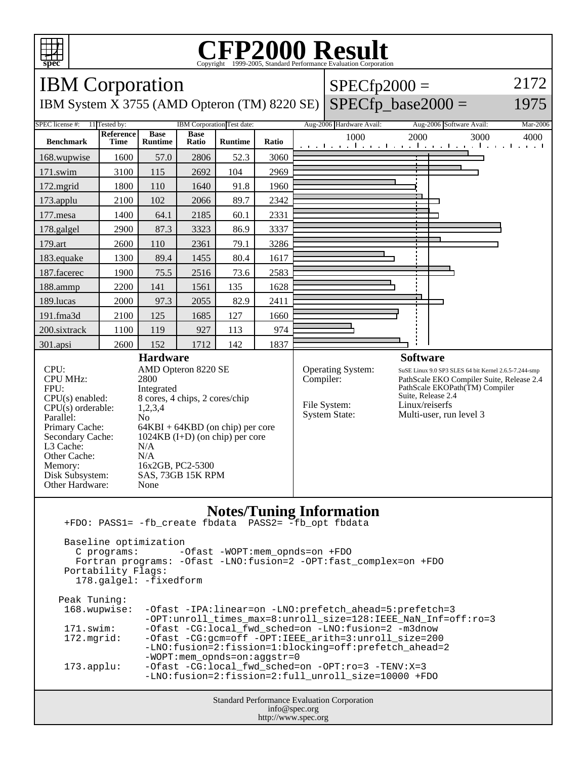

## **CFP2000 Result** Copyright ©1999-2005, Standard I



 Fortran programs: -Ofast -LNO:fusion=2 -OPT:fast\_complex=on +FDO Portability Flags:

178.galgel: -fixedform

| Peak Tuning:        |                                                               |
|---------------------|---------------------------------------------------------------|
| 168.wupwise:        | -Ofast -IPA:linear=on -LNO:prefetch_ahead=5:prefetch=3        |
|                     | -OPT:unroll_times_max=8:unroll_size=128:IEEE_NaN_Inf=off:ro=3 |
| 171.swim:           | -Ofast -CG:local_fwd_sched=on -LNO:fusion=2 -m3dnow           |
| 172.mgrid:          | -Ofast -CG:gcm=off -OPT:IEEE_arith=3:unroll_size=200          |
|                     | -LNO:fusion=2:fission=1:blocking=off:prefetch_ahead=2         |
|                     | $-WOPT:$ mem opnds=on:aqqstr=0                                |
| $173.\text{applu}:$ | -Ofast -CG:local_fwd_sched=on -OPT:ro=3 -TENV:X=3             |
|                     | -LNO:fusion=2:fission=2:full unroll size=10000 +FDO           |
|                     |                                                               |

Standard Performance Evaluation Corporation info@spec.org http://www.spec.org